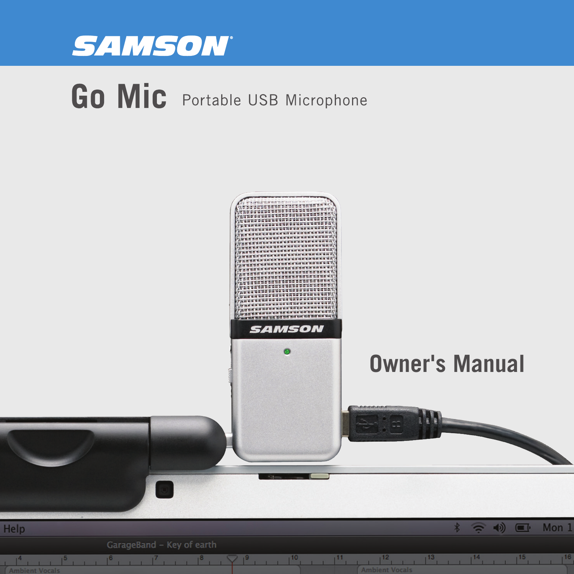

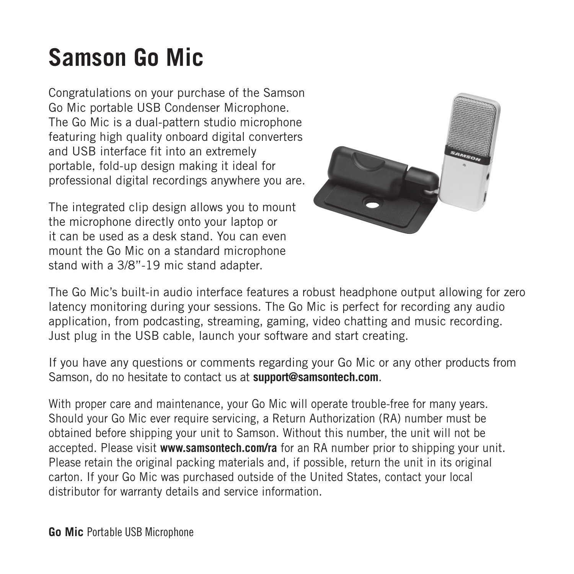### **Samson Go Mic**

Congratulations on your purchase of the Samson Go Mic portable USB Condenser Microphone. The Go Mic is a dual-pattern studio microphone featuring high quality onboard digital converters and USB interface fit into an extremely portable, fold-up design making it ideal for professional digital recordings anywhere you are.

The integrated clip design allows you to mount the microphone directly onto your laptop or it can be used as a desk stand. You can even mount the Go Mic on a standard microphone stand with a 3/8"-19 mic stand adapter.



The Go Mic's built-in audio interface features a robust headphone output allowing for zero latency monitoring during your sessions. The Go Mic is perfect for recording any audio application, from podcasting, streaming, gaming, video chatting and music recording. Just plug in the USB cable, launch your software and start creating.

If you have any questions or comments regarding your Go Mic or any other products from Samson, do no hesitate to contact us at **support@samsontech.com**.

With proper care and maintenance, your Go Mic will operate trouble-free for many years. Should your Go Mic ever require servicing, a Return Authorization (RA) number must be obtained before shipping your unit to Samson. Without this number, the unit will not be accepted. Please visit **www.samsontech.com/ra** for an RA number prior to shipping your unit. Please retain the original packing materials and, if possible, return the unit in its original carton. If your Go Mic was purchased outside of the United States, contact your local distributor for warranty details and service information.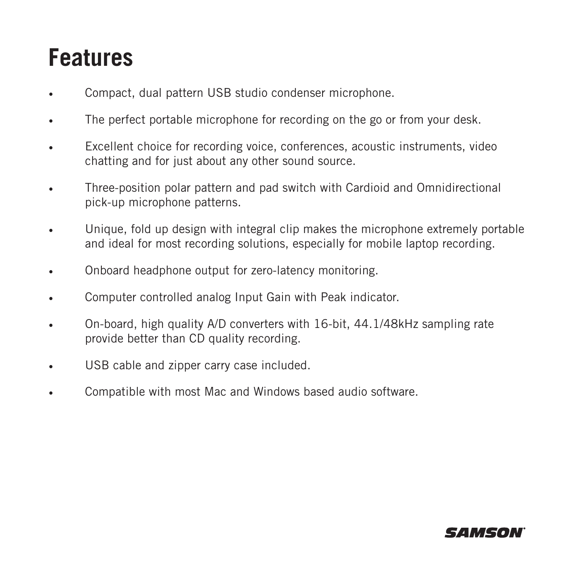#### **Features**

- Compact, dual pattern USB studio condenser microphone.
- The perfect portable microphone for recording on the go or from your desk.
- Excellent choice for recording voice, conferences, acoustic instruments, video chatting and for just about any other sound source.
- Three-position polar pattern and pad switch with Cardioid and Omnidirectional pick-up microphone patterns.
- Unique, fold up design with integral clip makes the microphone extremely portable and ideal for most recording solutions, especially for mobile laptop recording.
- Onboard headphone output for zero-latency monitoring.
- Computer controlled analog Input Gain with Peak indicator.
- On-board, high quality A/D converters with 16-bit, 44.1/48kHz sampling rate provide better than CD quality recording.
- USB cable and zipper carry case included.
- Compatible with most Mac and Windows based audio software.

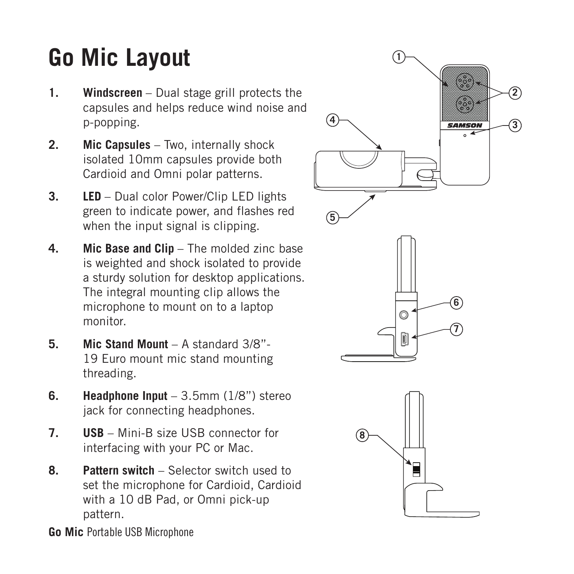# **Go Mic Layout**

- **1. Windscreen**  Dual stage grill protects the capsules and helps reduce wind noise and p-popping.
- **2. Mic Capsules** Two, internally shock isolated 10mm capsules provide both Cardioid and Omni polar patterns.
- **3. LED**  Dual color Power/Clip LED lights green to indicate power, and flashes red when the input signal is clipping.
- **4.** Mic Base and Clin The molded zinc base is weighted and shock isolated to provide a sturdy solution for desktop applications. The integral mounting clip allows the microphone to mount on to a laptop monitor.
- **5. Mic Stand Mount** A standard 3/8"- 19 Euro mount mic stand mounting threading.
- **6. Headphone Input** 3.5mm (1/8") stereo jack for connecting headphones.
- **7. USB** Mini-B size USB connector for interfacing with your PC or Mac.
- **8. Pattern switch** Selector switch used to set the microphone for Cardioid, Cardioid with a 10 dB Pad, or Omni pick-up pattern.

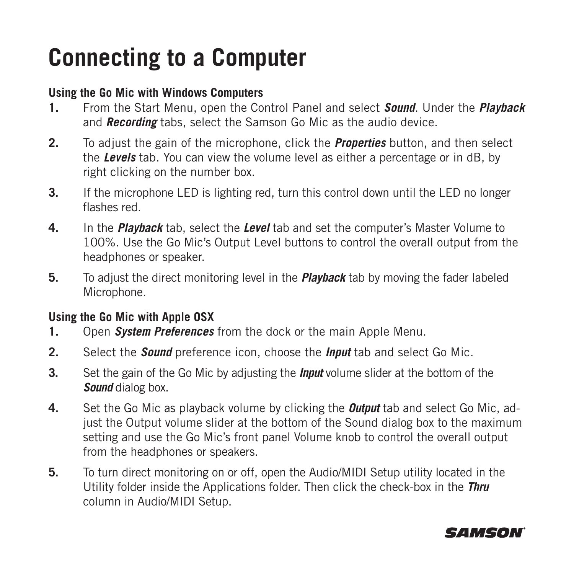### **Connecting to a Computer**

#### **Using the Go Mic with Windows Computers**

- **1.** From the Start Menu, open the Control Panel and select *Sound*. Under the *Playback*  and *Recording* tabs, select the Samson Go Mic as the audio device.
- **2.** To adjust the gain of the microphone, click the *Properties* button, and then select the *Levels* tab. You can view the volume level as either a percentage or in dB, by right clicking on the number box.
- **3.** If the microphone LED is lighting red, turn this control down until the LED no longer flashes red.
- **4.** In the *Playback* tab, select the *Level* tab and set the computer's Master Volume to 100%. Use the Go Mic's Output Level buttons to control the overall output from the headphones or speaker.
- **5.** To adjust the direct monitoring level in the *Playback* tab by moving the fader labeled Microphone.

#### **Using the Go Mic with Apple OSX**

- **1.** Open *System Preferences* from the dock or the main Apple Menu.
- **2.** Select the *Sound* preference icon, choose the *Input* tab and select Go Mic.
- **3.** Set the gain of the Go Mic by adjusting the *Input* volume slider at the bottom of the *Sound* dialog box.
- **4.** Set the Go Mic as playback volume by clicking the *Output* tab and select Go Mic, adjust the Output volume slider at the bottom of the Sound dialog box to the maximum setting and use the Go Mic's front panel Volume knob to control the overall output from the headphones or speakers.
- **5.** To turn direct monitoring on or off, open the Audio/MIDI Setup utility located in the Utility folder inside the Applications folder. Then click the check-box in the *Thru* column in Audio/MIDI Setup.

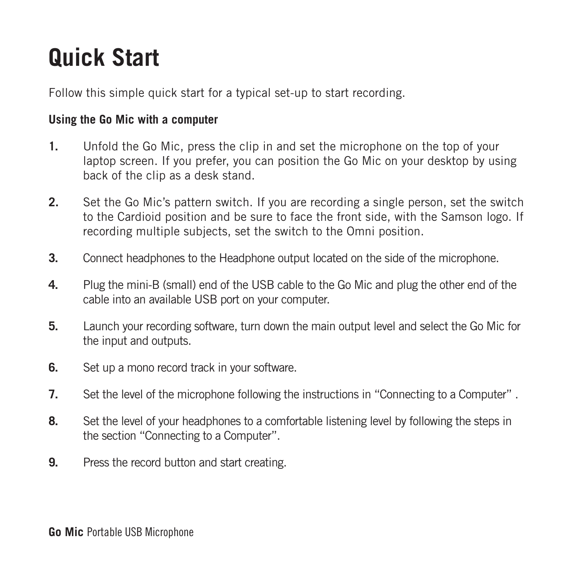### **Quick Start**

Follow this simple quick start for a typical set-up to start recording.

#### **Using the Go Mic with a computer**

- **1.** Unfold the Go Mic, press the clip in and set the microphone on the top of your laptop screen. If you prefer, you can position the Go Mic on your desktop by using back of the clip as a desk stand.
- **2.** Set the Go Mic's pattern switch. If you are recording a single person, set the switch to the Cardioid position and be sure to face the front side, with the Samson logo. If recording multiple subjects, set the switch to the Omni position.
- **3.** Connect headphones to the Headphone output located on the side of the microphone.
- **4.** Plug the mini-B (small) end of the USB cable to the Go Mic and plug the other end of the cable into an available USB port on your computer.
- **5.** Launch your recording software, turn down the main output level and select the Go Mic for the input and outputs.
- **6.** Set up a mono record track in your software.
- **7.** Set the level of the microphone following the instructions in "Connecting to a Computer" .
- **8.** Set the level of your headphones to a comfortable listening level by following the steps in the section "Connecting to a Computer".
- **9.** Press the record button and start creating.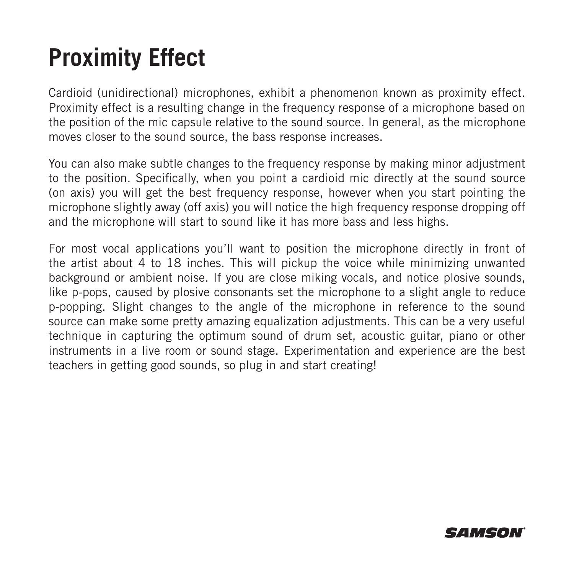### **Proximity Effect**

Cardioid (unidirectional) microphones, exhibit a phenomenon known as proximity effect. Proximity effect is a resulting change in the frequency response of a microphone based on the position of the mic capsule relative to the sound source. In general, as the microphone moves closer to the sound source, the bass response increases.

You can also make subtle changes to the frequency response by making minor adjustment to the position. Specifically, when you point a cardioid mic directly at the sound source (on axis) you will get the best frequency response, however when you start pointing the microphone slightly away (off axis) you will notice the high frequency response dropping off and the microphone will start to sound like it has more bass and less highs.

For most vocal applications you'll want to position the microphone directly in front of the artist about 4 to 18 inches. This will pickup the voice while minimizing unwanted background or ambient noise. If you are close miking vocals, and notice plosive sounds, like p-pops, caused by plosive consonants set the microphone to a slight angle to reduce p-popping. Slight changes to the angle of the microphone in reference to the sound source can make some pretty amazing equalization adjustments. This can be a very useful technique in capturing the optimum sound of drum set, acoustic guitar, piano or other instruments in a live room or sound stage. Experimentation and experience are the best teachers in getting good sounds, so plug in and start creating!

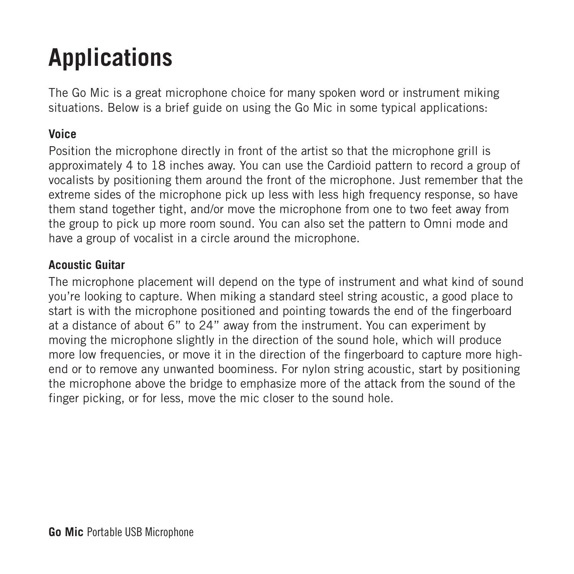# **Applications**

The Go Mic is a great microphone choice for many spoken word or instrument miking situations. Below is a brief guide on using the Go Mic in some typical applications:

#### **Voice**

Position the microphone directly in front of the artist so that the microphone grill is approximately 4 to 18 inches away. You can use the Cardioid pattern to record a group of vocalists by positioning them around the front of the microphone. Just remember that the extreme sides of the microphone pick up less with less high frequency response, so have them stand together tight, and/or move the microphone from one to two feet away from the group to pick up more room sound. You can also set the pattern to Omni mode and have a group of vocalist in a circle around the microphone.

#### **Acoustic Guitar**

The microphone placement will depend on the type of instrument and what kind of sound you're looking to capture. When miking a standard steel string acoustic, a good place to start is with the microphone positioned and pointing towards the end of the fingerboard at a distance of about 6" to 24" away from the instrument. You can experiment by moving the microphone slightly in the direction of the sound hole, which will produce more low frequencies, or move it in the direction of the fingerboard to capture more highend or to remove any unwanted boominess. For nylon string acoustic, start by positioning the microphone above the bridge to emphasize more of the attack from the sound of the finger picking, or for less, move the mic closer to the sound hole.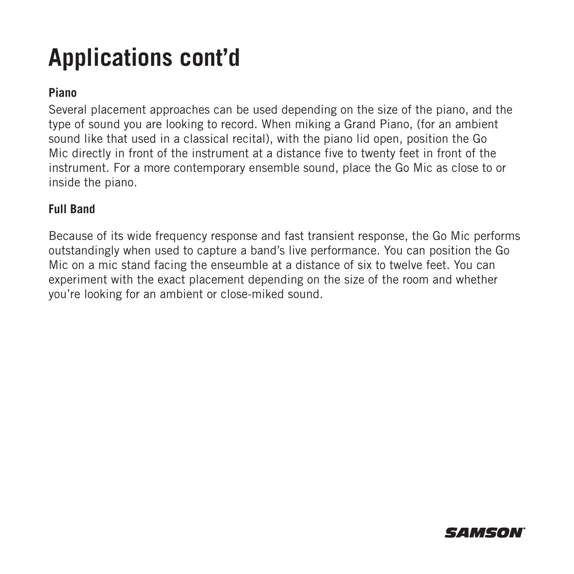### **Applications cont'd**

#### **Piano**

Several placement approaches can be used depending on the size of the piano, and the type of sound you are looking to record. When miking a Grand Piano, (for an ambient sound like that used in a classical recital), with the piano lid open, position the Go Mic directly in front of the instrument at a distance five to twenty feet in front of the instrument. For a more contemporary ensemble sound, place the Go Mic as close to or inside the piano.

#### **Full Band**

Because of its wide frequency response and fast transient response, the Go Mic performs outstandingly when used to capture a band's live performance. You can position the Go Mic on a mic stand facing the enseumble at a distance of six to twelve feet. You can experiment with the exact placement depending on the size of the room and whether you're looking for an ambient or close-miked sound.

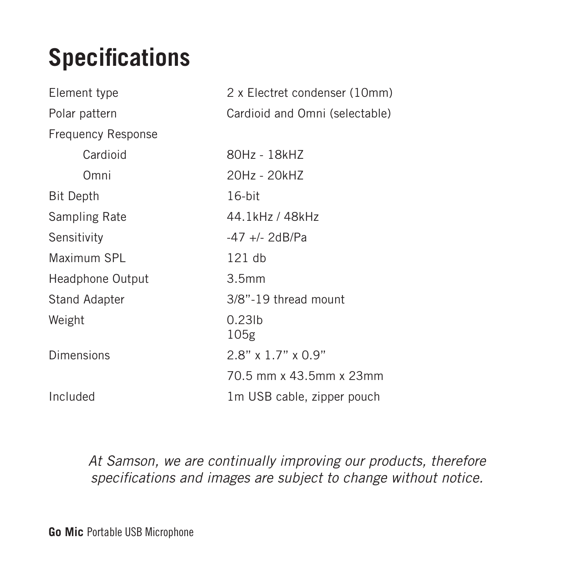# **Specifications**

| Element type              | 2 x Electret condenser (10mm)  |
|---------------------------|--------------------------------|
| Polar pattern             | Cardioid and Omni (selectable) |
| <b>Frequency Response</b> |                                |
| Cardioid                  | 80Hz - 18kHZ                   |
| Omni                      | 20Hz - 20kHZ                   |
| Bit Depth                 | $16$ -bit                      |
| Sampling Rate             | 44.1kHz / 48kHz                |
| Sensitivity               | $-47$ +/- 2dB/Pa               |
| Maximum SPL               | $121$ db                       |
| Headphone Output          | 3.5mm                          |
| Stand Adapter             | 3/8"-19 thread mount           |
| Weight                    | 0.231 <sub>b</sub><br>105g     |
| Dimensions                | $2.8"$ x 1.7" x 0.9"           |
|                           | 70.5 mm x 43.5mm x 23mm        |
| Included                  | 1m USB cable, zipper pouch     |

*At Samson, we are continually improving our products, therefore specifications and images are subject to change without notice.*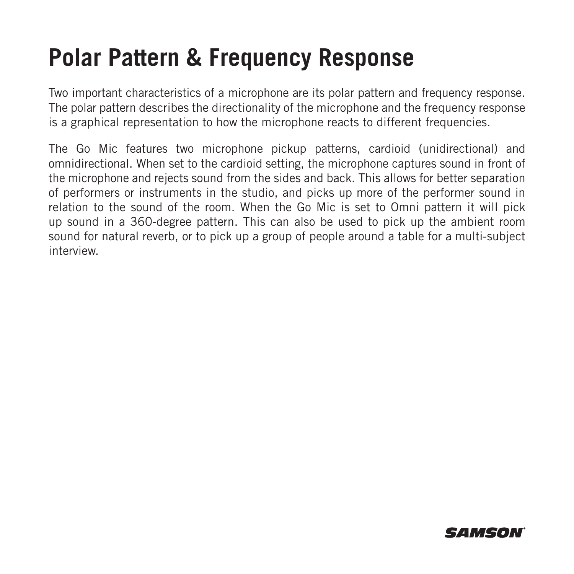#### **Polar Pattern & Frequency Response**

Two important characteristics of a microphone are its polar pattern and frequency response. The polar pattern describes the directionality of the microphone and the frequency response is a graphical representation to how the microphone reacts to different frequencies.

The Go Mic features two microphone pickup patterns, cardioid (unidirectional) and omnidirectional. When set to the cardioid setting, the microphone captures sound in front of the microphone and rejects sound from the sides and back. This allows for better separation of performers or instruments in the studio, and picks up more of the performer sound in relation to the sound of the room. When the Go Mic is set to Omni pattern it will pick up sound in a 360-degree pattern. This can also be used to pick up the ambient room sound for natural reverb, or to pick up a group of people around a table for a multi-subject interview.

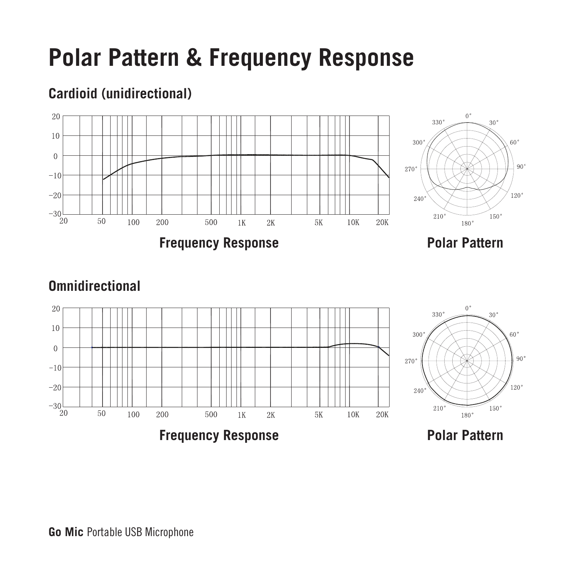### **Polar Pattern & Frequency Response**

#### 20  $10$  $\theta$ 270  $-10$  $-20$  $-30$ 210  $20$ 50 100 200 500  $1K$  $2K$  $5K$ 10K 20K 180 **Polar Pattern Frequency Response**

#### **Cardioid (unidirectional)**

#### **Omnidirectional**

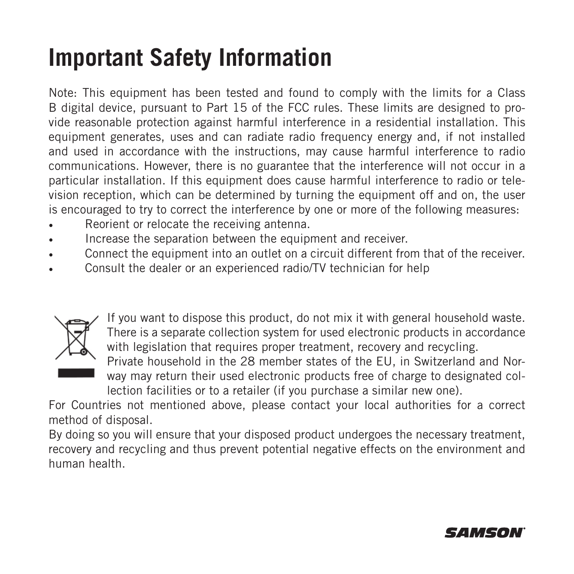### **Important Safety Information**

Note: This equipment has been tested and found to comply with the limits for a Class B digital device, pursuant to Part 15 of the FCC rules. These limits are designed to provide reasonable protection against harmful interference in a residential installation. This equipment generates, uses and can radiate radio frequency energy and, if not installed and used in accordance with the instructions, may cause harmful interference to radio communications. However, there is no guarantee that the interference will not occur in a particular installation. If this equipment does cause harmful interference to radio or television reception, which can be determined by turning the equipment off and on, the user is encouraged to try to correct the interference by one or more of the following measures:

- Reorient or relocate the receiving antenna.
- Increase the separation between the equipment and receiver.
- Connect the equipment into an outlet on a circuit different from that of the receiver.
- Consult the dealer or an experienced radio/TV technician for help



If you want to dispose this product, do not mix it with general household waste. There is a separate collection system for used electronic products in accordance with legislation that requires proper treatment, recovery and recycling. Private household in the 28 member states of the EU, in Switzerland and Nor-

way may return their used electronic products free of charge to designated collection facilities or to a retailer (if you purchase a similar new one).

For Countries not mentioned above, please contact your local authorities for a correct method of disposal.

By doing so you will ensure that your disposed product undergoes the necessary treatment, recovery and recycling and thus prevent potential negative effects on the environment and human health.

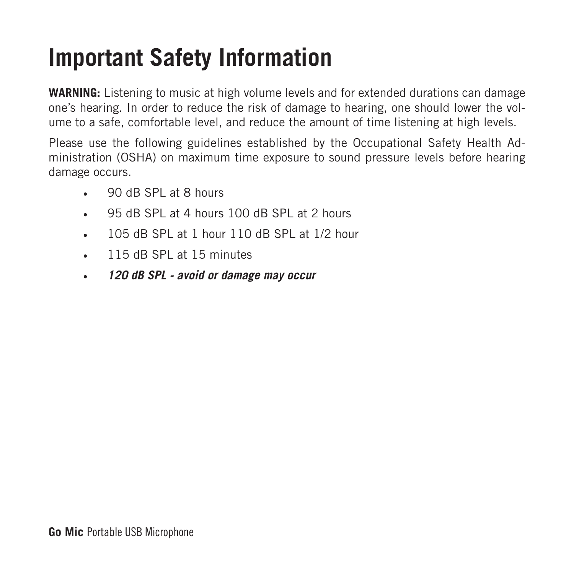### **Important Safety Information**

**WARNING:** Listening to music at high volume levels and for extended durations can damage one's hearing. In order to reduce the risk of damage to hearing, one should lower the volume to a safe, comfortable level, and reduce the amount of time listening at high levels.

Please use the following guidelines established by the Occupational Safety Health Administration (OSHA) on maximum time exposure to sound pressure levels before hearing damage occurs.

- 90 dB SPL at 8 hours
- 95 dB SPL at 4 hours 100 dB SPL at 2 hours
- 105 dB SPL at 1 hour 110 dB SPL at 1/2 hour
- 115 dB SPL at 15 minutes
- *120 dB SPL avoid or damage may occur*